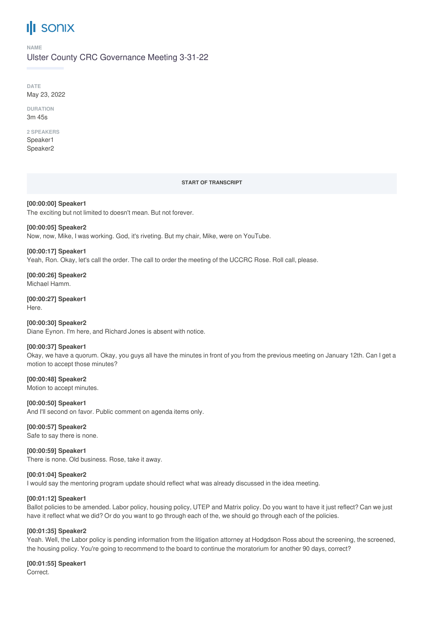# **SONIX**

**NAME**

# Ulster County CRC Governance Meeting 3-31-22

**DATE** May 23, 2022

**DURATION** 3m 45s

#### **2 SPEAKERS** Speaker1

Speaker2

### **START OF TRANSCRIPT**

**[00:00:00] Speaker1** The exciting but not limited to doesn't mean. But not forever.

**[00:00:05] Speaker2** Now, now, Mike, I was working. God, it's riveting. But my chair, Mike, were on YouTube.

**[00:00:17] Speaker1** Yeah, Ron. Okay, let's call the order. The call to order the meeting of the UCCRC Rose. Roll call, please.

**[00:00:26] Speaker2** Michael Hamm.

**[00:00:27] Speaker1** Here.

**[00:00:30] Speaker2** Diane Eynon. I'm here, and Richard Jones is absent with notice.

# **[00:00:37] Speaker1**

Okay, we have a quorum. Okay, you guys all have the minutes in front of you from the previous meeting on January 12th. Can I get a motion to accept those minutes?

**[00:00:48] Speaker2** Motion to accept minutes.

**[00:00:50] Speaker1** And I'll second on favor. Public comment on agenda items only.

# **[00:00:57] Speaker2**

Safe to say there is none.

# **[00:00:59] Speaker1**

There is none. Old business. Rose, take it away.

# **[00:01:04] Speaker2**

I would say the mentoring program update should reflect what was already discussed in the idea meeting.

# **[00:01:12] Speaker1**

Ballot policies to be amended. Labor policy, housing policy, UTEP and Matrix policy. Do you want to have it just reflect? Can we just have it reflect what we did? Or do you want to go through each of the, we should go through each of the policies.

# **[00:01:35] Speaker2**

Yeah. Well, the Labor policy is pending information from the litigation attorney at Hodgdson Ross about the screening, the screened, the housing policy. You're going to recommend to the board to continue the moratorium for another 90 days, correct?

**[00:01:55] Speaker1**

**Correct**